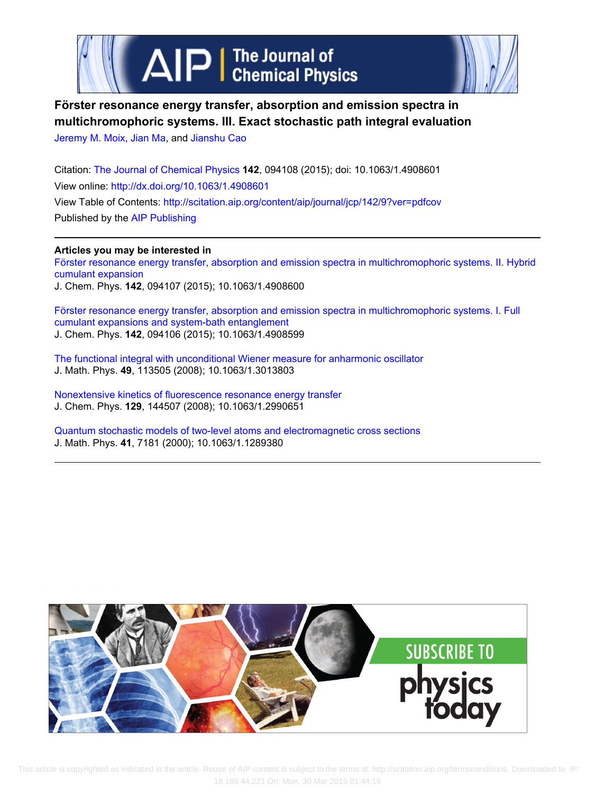



# **Förster resonance energy transfer, absorption and emission spectra in multichromophoric systems. III. Exact stochastic path integral evaluation**

[Jeremy M. Moix,](http://scitation.aip.org/search?value1=Jeremy+M.+Moix&option1=author) [Jian Ma](http://scitation.aip.org/search?value1=Jian+Ma&option1=author), and [Jianshu Cao](http://scitation.aip.org/search?value1=Jianshu+Cao&option1=author)

Citation: [The Journal of Chemical Physics](http://scitation.aip.org/content/aip/journal/jcp?ver=pdfcov) **142**, 094108 (2015); doi: 10.1063/1.4908601 View online: <http://dx.doi.org/10.1063/1.4908601> View Table of Contents:<http://scitation.aip.org/content/aip/journal/jcp/142/9?ver=pdfcov> Published by the [AIP Publishing](http://scitation.aip.org/content/aip?ver=pdfcov)

**Articles you may be interested in** [Förster resonance energy transfer, absorption and emission spectra in multichromophoric systems. II. Hybrid](http://scitation.aip.org/content/aip/journal/jcp/142/9/10.1063/1.4908600?ver=pdfcov) [cumulant expansion](http://scitation.aip.org/content/aip/journal/jcp/142/9/10.1063/1.4908600?ver=pdfcov) J. Chem. Phys. **142**, 094107 (2015); 10.1063/1.4908600

[Förster resonance energy transfer, absorption and emission spectra in multichromophoric systems. I. Full](http://scitation.aip.org/content/aip/journal/jcp/142/9/10.1063/1.4908599?ver=pdfcov) [cumulant expansions and system-bath entanglement](http://scitation.aip.org/content/aip/journal/jcp/142/9/10.1063/1.4908599?ver=pdfcov) J. Chem. Phys. **142**, 094106 (2015); 10.1063/1.4908599

[The functional integral with unconditional Wiener measure for anharmonic oscillator](http://scitation.aip.org/content/aip/journal/jmp/49/11/10.1063/1.3013803?ver=pdfcov) J. Math. Phys. **49**, 113505 (2008); 10.1063/1.3013803

[Nonextensive kinetics of fluorescence resonance energy transfer](http://scitation.aip.org/content/aip/journal/jcp/129/14/10.1063/1.2990651?ver=pdfcov) J. Chem. Phys. **129**, 144507 (2008); 10.1063/1.2990651

[Quantum stochastic models of two-level atoms and electromagnetic cross sections](http://scitation.aip.org/content/aip/journal/jmp/41/11/10.1063/1.1289380?ver=pdfcov) J. Math. Phys. **41**, 7181 (2000); 10.1063/1.1289380



 This article is copyrighted as indicated in the article. Reuse of AIP content is subject to the terms at: http://scitation.aip.org/termsconditions. Downloaded to IP: 18.189.44.221 On: Mon, 30 Mar 2015 01:44:16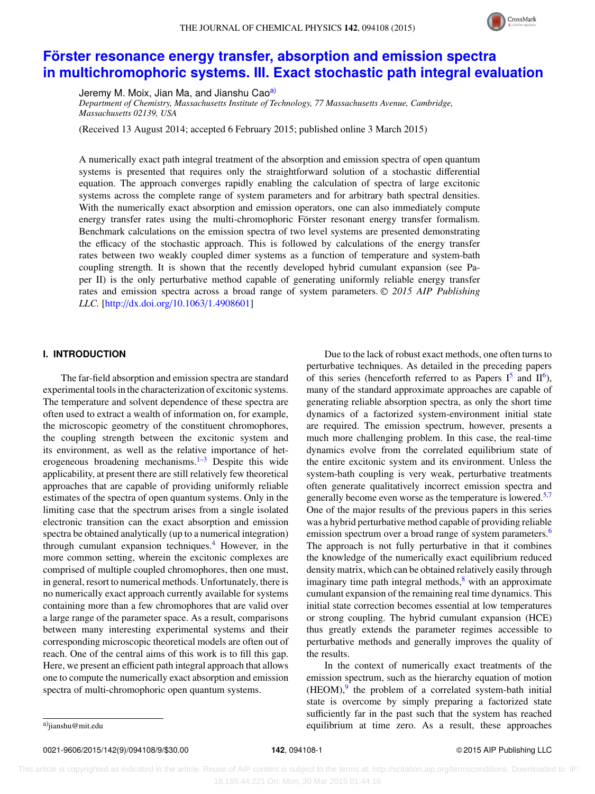#### THE JOURNAL OF CHEMICAL PHYSICS 142, 094108 (2015)



# **[Förster resonance energy transfer, absorption and emission spectra](http://dx.doi.org/10.1063/1.4908601) [in multichromophoric systems. III. Exact stochastic path integral evaluation](http://dx.doi.org/10.1063/1.4908601)**

Jeremy M. Moix, Jian Ma, and Jianshu Cao<sup>[a\)](#page-1-0)</sup>

*Department of Chemistry, Massachusetts Institute of Technology, 77 Massachusetts Avenue, Cambridge, Massachusetts 02139, USA*

(Received 13 August 2014; accepted 6 February 2015; published online 3 March 2015)

A numerically exact path integral treatment of the absorption and emission spectra of open quantum systems is presented that requires only the straightforward solution of a stochastic differential equation. The approach converges rapidly enabling the calculation of spectra of large excitonic systems across the complete range of system parameters and for arbitrary bath spectral densities. With the numerically exact absorption and emission operators, one can also immediately compute energy transfer rates using the multi-chromophoric Förster resonant energy transfer formalism. Benchmark calculations on the emission spectra of two level systems are presented demonstrating the efficacy of the stochastic approach. This is followed by calculations of the energy transfer rates between two weakly coupled dimer systems as a function of temperature and system-bath coupling strength. It is shown that the recently developed hybrid cumulant expansion (see Paper II) is the only perturbative method capable of generating uniformly reliable energy transfer rates and emission spectra across a broad range of system parameters. © 2015 AIP Publishing *LLC.* [\[http:](http://dx.doi.org/10.1063/1.4908601)//[dx.doi.org](http://dx.doi.org/10.1063/1.4908601)/[10.1063](http://dx.doi.org/10.1063/1.4908601)/[1.4908601\]](http://dx.doi.org/10.1063/1.4908601)

### **I. INTRODUCTION**

The far-field absorption and emission spectra are standard experimental tools in the characterization of excitonic systems. The temperature and solvent dependence of these spectra are often used to extract a wealth of information on, for example, the microscopic geometry of the constituent chromophores, the coupling strength between the excitonic system and its environment, as well as the relative importance of heterogeneous broadening mechanisms.[1](#page-9-0)[–3](#page-9-1) Despite this wide applicability, at present there are still relatively few theoretical approaches that are capable of providing uniformly reliable estimates of the spectra of open quantum systems. Only in the limiting case that the spectrum arises from a single isolated electronic transition can the exact absorption and emission spectra be obtained analytically (up to a numerical integration) through cumulant expansion techniques.<sup>[4](#page-9-2)</sup> However, in the more common setting, wherein the excitonic complexes are comprised of multiple coupled chromophores, then one must, in general, resort to numerical methods. Unfortunately, there is no numerically exact approach currently available for systems containing more than a few chromophores that are valid over a large range of the parameter space. As a result, comparisons between many interesting experimental systems and their corresponding microscopic theoretical models are often out of reach. One of the central aims of this work is to fill this gap. Here, we present an efficient path integral approach that allows one to compute the numerically exact absorption and emission spectra of multi-chromophoric open quantum systems.

Due to the lack of robust exact methods, one often turns to perturbative techniques. As detailed in the preceding papers of this series (henceforth referred to as Papers  $I^5$  $I^5$  and  $II^6$  $II^6$ ), many of the standard approximate approaches are capable of generating reliable absorption spectra, as only the short time dynamics of a factorized system-environment initial state are required. The emission spectrum, however, presents a much more challenging problem. In this case, the real-time dynamics evolve from the correlated equilibrium state of the entire excitonic system and its environment. Unless the system-bath coupling is very weak, perturbative treatments often generate qualitatively incorrect emission spectra and generally become even worse as the temperature is lowered.<sup>[5,](#page-9-3)[7](#page-9-5)</sup> One of the major results of the previous papers in this series was a hybrid perturbative method capable of providing reliable emission spectrum over a broad range of system parameters.<sup>[6](#page-9-4)</sup> The approach is not fully perturbative in that it combines the knowledge of the numerically exact equilibrium reduced density matrix, which can be obtained relatively easily through imaginary time path integral methods, $\delta$  with an approximate cumulant expansion of the remaining real time dynamics. This initial state correction becomes essential at low temperatures or strong coupling. The hybrid cumulant expansion (HCE) thus greatly extends the parameter regimes accessible to perturbative methods and generally improves the quality of the results.

In the context of numerically exact treatments of the emission spectrum, such as the hierarchy equation of motion  $(HEOM)$ ,<sup>[9](#page-9-7)</sup> the problem of a correlated system-bath initial state is overcome by simply preparing a factorized state sufficiently far in the past such that the system has reached equilibrium at time zero. As a result, these approaches

<span id="page-1-0"></span>a)jianshu@mit.edu

<sup>0021-9606/2015/142(9)/094108/9/\$30.00</sup> **142**, 094108-1 © 2015 AIP Publishing LLC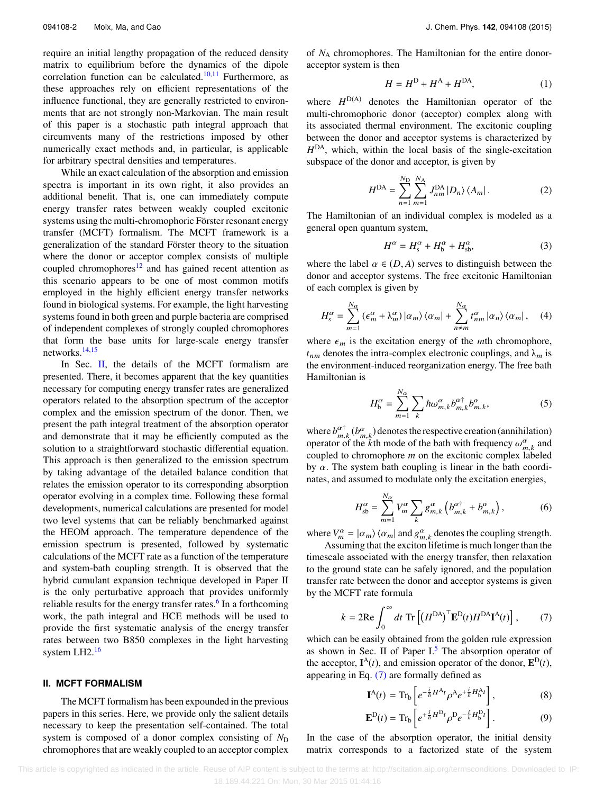require an initial lengthy propagation of the reduced density matrix to equilibrium before the dynamics of the dipole correlation function can be calculated.<sup>[10,](#page-9-8)[11](#page-9-9)</sup> Furthermore, as these approaches rely on efficient representations of the influence functional, they are generally restricted to environments that are not strongly non-Markovian. The main result of this paper is a stochastic path integral approach that circumvents many of the restrictions imposed by other numerically exact methods and, in particular, is applicable for arbitrary spectral densities and temperatures.

While an exact calculation of the absorption and emission spectra is important in its own right, it also provides an additional benefit. That is, one can immediately compute energy transfer rates between weakly coupled excitonic systems using the multi-chromophoric Förster resonant energy transfer (MCFT) formalism. The MCFT framework is a generalization of the standard Förster theory to the situation where the donor or acceptor complex consists of multiple coupled chromophores<sup>[12](#page-9-10)</sup> and has gained recent attention as this scenario appears to be one of most common motifs employed in the highly efficient energy transfer networks found in biological systems. For example, the light harvesting systems found in both green and purple bacteria are comprised of independent complexes of strongly coupled chromophores that form the base units for large-scale energy transfer networks.[14,](#page-9-11)[15](#page-9-12)

In Sec. [II,](#page-2-0) the details of the MCFT formalism are presented. There, it becomes apparent that the key quantities necessary for computing energy transfer rates are generalized operators related to the absorption spectrum of the acceptor complex and the emission spectrum of the donor. Then, we present the path integral treatment of the absorption operator and demonstrate that it may be efficiently computed as the solution to a straightforward stochastic differential equation. This approach is then generalized to the emission spectrum by taking advantage of the detailed balance condition that relates the emission operator to its corresponding absorption operator evolving in a complex time. Following these formal developments, numerical calculations are presented for model two level systems that can be reliably benchmarked against the HEOM approach. The temperature dependence of the emission spectrum is presented, followed by systematic calculations of the MCFT rate as a function of the temperature and system-bath coupling strength. It is observed that the hybrid cumulant expansion technique developed in Paper II is the only perturbative approach that provides uniformly reliable results for the energy transfer rates.<sup>[6](#page-9-4)</sup> In a forthcoming work, the path integral and HCE methods will be used to provide the first systematic analysis of the energy transfer rates between two B850 complexes in the light harvesting system LH<sub>2</sub>.<sup>[16](#page-9-13)</sup>

## <span id="page-2-0"></span>**II. MCFT FORMALISM**

The MCFT formalism has been expounded in the previous papers in this series. Here, we provide only the salient details necessary to keep the presentation self-contained. The total system is composed of a donor complex consisting of  $N_D$ chromophores that are weakly coupled to an acceptor complex of *N*<sup>A</sup> chromophores. The Hamiltonian for the entire donoracceptor system is then

$$
H = H^D + H^A + H^{DA},\tag{1}
$$

where  $H^{D(A)}$  denotes the Hamiltonian operator of the multi-chromophoric donor (acceptor) complex along with its associated thermal environment. The excitonic coupling between the donor and acceptor systems is characterized by *H* DA, which, within the local basis of the single-excitation subspace of the donor and acceptor, is given by

$$
H^{\text{DA}} = \sum_{n=1}^{N_{\text{D}}} \sum_{m=1}^{N_{\text{A}}} J_{nm}^{\text{DA}} |D_n\rangle \langle A_m| \,. \tag{2}
$$

The Hamiltonian of an individual complex is modeled as a general open quantum system,

<span id="page-2-4"></span>
$$
H^{\alpha} = H_s^{\alpha} + H_b^{\alpha} + H_{\text{sb}}^{\alpha},\tag{3}
$$

where the label  $\alpha \in (D, A)$  serves to distinguish between the donor and acceptor systems. The free excitonic Hamiltonian of each complex is given by

$$
H_s^{\alpha} = \sum_{m=1}^{N_{\alpha}} (\epsilon_m^{\alpha} + \lambda_m^{\alpha}) |\alpha_m\rangle \langle \alpha_m| + \sum_{n=m}^{N_{\alpha}} t_{nm}^{\alpha} |\alpha_n\rangle \langle \alpha_m|, \quad (4)
$$

where  $\epsilon_m$  is the excitation energy of the *m*th chromophore,  $t_{nm}$  denotes the intra-complex electronic couplings, and  $\lambda_m$  is the environment-induced reorganization energy. The free bath Hamiltonian is

$$
H_b^{\alpha} = \sum_{m=1}^{N_{\alpha}} \sum_{k} \hbar \omega_{m,k}^{\alpha} b_{m,k}^{\alpha \dagger} b_{m,k}^{\alpha}, \qquad (5)
$$

where  $b_m^{\alpha\dagger}$ m,k<br>r of  $(b_{m,k}^{\alpha})$ <br>the k ) denotes the respective creation (annihilation) operator of the *k*th mode of the bath with frequency  $\omega_{m,k}^{\alpha}$  and counsel to chromophore *m* on the excitonic complex labeled  $\omega_{m,k}$  and coupled to chromophore *m* on the excitonic complex labeled by  $\alpha$ . The system bath coupling is linear in the bath coordinates, and assumed to modulate only the excitation energies,

$$
H_{\rm sb}^{\alpha} = \sum_{m=1}^{N_{\alpha}} V_m^{\alpha} \sum_{k} g_{m,k}^{\alpha} \left( b_{m,k}^{\alpha\dagger} + b_{m,k}^{\alpha} \right), \tag{6}
$$

where  $V_m^{\alpha} = |\alpha_m\rangle \langle \alpha_m|$  and  $g_{m,k}^{\alpha}$  denotes the coupling strength.<br>A seuming that the exciton lifetime is much longer than the

 $\alpha_{m} = |\alpha_{m}/\langle \alpha_{m}|$  and  $g_{m,k}$  denotes the evolping stength.<br>Assuming that the exciton lifetime is much longer than the timescale associated with the energy transfer, then relaxation to the ground state can be safely ignored, and the population transfer rate between the donor and acceptor systems is given by the MCFT rate formula

$$
k = 2\text{Re}\int_0^\infty dt \,\text{Tr}\left[\left(H^{\text{DA}}\right)^{\text{T}}\mathbf{E}^{\text{D}}(t)H^{\text{DA}}\mathbf{I}^{\text{A}}(t)\right],\tag{7}
$$

which can be easily obtained from the golden rule expression as shown in Sec. II of Paper  $I<sup>5</sup>$  $I<sup>5</sup>$  $I<sup>5</sup>$ . The absorption operator of the acceptor,  $I^A(t)$ , and emission operator of the donor,  $\mathbf{E}^{\text{D}}(t)$ , appearing in Eq.  $(7)$  are formally defined as  $\overline{a}$ 

<span id="page-2-3"></span><span id="page-2-1"></span>
$$
\mathbf{I}^{\mathcal{A}}(t) = \text{Tr}_{\mathcal{b}} \left[ e^{-\frac{i}{\hbar} H^{\mathcal{A}} t} \rho^{\mathcal{A}} e^{+\frac{i}{\hbar} H^{\mathcal{A}}_{\mathcal{b}} t} \right],\tag{8}
$$

<span id="page-2-2"></span>
$$
\mathbf{E}^{\mathcal{D}}(t) = \mathrm{Tr}_{\mathcal{b}} \left[ e^{+\frac{i}{\hbar}H^{\mathcal{D}}t} \rho^{\mathcal{D}} e^{-\frac{i}{\hbar}H_{\mathcal{b}}^{\mathcal{D}}t} \right]. \tag{9}
$$

In the case of the absorption operator, the initial density matrix corresponds to a factorized state of the system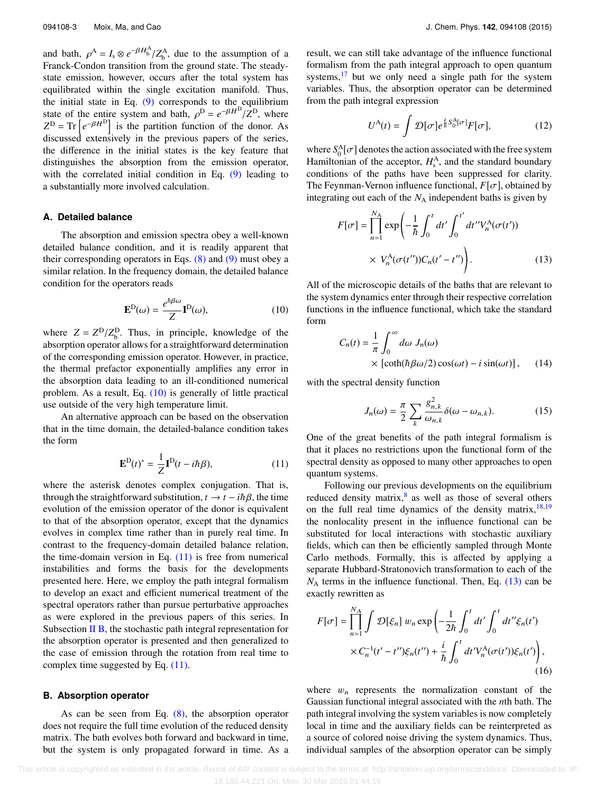and bath,  $\rho^A = I_s \otimes e^{-\beta H_b^A} / Z_b^A$ , due to the assumption of a<br>Franck-Condon transition from the ground state. The steady-Franck-Condon transition from the ground state. The steadystate emission, however, occurs after the total system has equilibrated within the single excitation manifold. Thus, the initial state in Eq.  $(9)$  corresponds to the equilibrium state of the entire system and bath,  $\rho^D = e^{-\beta H^D}/Z^D$ , where  $Z^D = \text{Tr} \left[ e^{-\beta H^D} \right]$  is the partition function of the donor. As  $Z^D = \text{Tr} \left[ e^{-\beta H^D} \right]$  is the partition function of the donor. As discussed extensively in the previous papers of the series, the difference in the initial states is the key feature that distinguishes the absorption from the emission operator, with the correlated initial condition in Eq. [\(9\)](#page-2-2) leading to a substantially more involved calculation.

#### **A. Detailed balance**

The absorption and emission spectra obey a well-known detailed balance condition, and it is readily apparent that their corresponding operators in Eqs. [\(8\)](#page-2-3) and [\(9\)](#page-2-2) must obey a similar relation. In the frequency domain, the detailed balance condition for the operators reads

$$
\mathbf{E}^{\mathcal{D}}(\omega) = \frac{e^{\hbar \beta \omega}}{Z} \mathbf{I}^{\mathcal{D}}(\omega),\tag{10}
$$

where  $Z = Z^D/Z_b^D$ . Thus, in principle, knowledge of the absorption operator allows for a straightforward determination absorption operator allows for a straightforward determination of the corresponding emission operator. However, in practice, the thermal prefactor exponentially amplifies any error in the absorption data leading to an ill-conditioned numerical problem. As a result, Eq. [\(10\)](#page-3-0) is generally of little practical use outside of the very high temperature limit.

An alternative approach can be based on the observation that in the time domain, the detailed-balance condition takes the form

$$
\mathbf{E}^{\mathbf{D}}(t)^{*} = \frac{1}{Z}\mathbf{I}^{\mathbf{D}}(t - i\hbar\beta),\tag{11}
$$

where the asterisk denotes complex conjugation. That is, through the straightforward substitution,  $t \rightarrow t - i\hbar\beta$ , the time evolution of the emission operator of the donor is equivalent to that of the absorption operator, except that the dynamics evolves in complex time rather than in purely real time. In contrast to the frequency-domain detailed balance relation, the time-domain version in Eq. [\(11\)](#page-3-1) is free from numerical instabilities and forms the basis for the developments presented here. Here, we employ the path integral formalism to develop an exact and efficient numerical treatment of the spectral operators rather than pursue perturbative approaches as were explored in the previous papers of this series. In Subsection  $\Pi$  B, the stochastic path integral representation for the absorption operator is presented and then generalized to the case of emission through the rotation from real time to complex time suggested by Eq. [\(11\).](#page-3-1)

#### <span id="page-3-2"></span>**B. Absorption operator**

As can be seen from Eq.  $(8)$ , the absorption operator does not require the full time evolution of the reduced density matrix. The bath evolves both forward and backward in time, but the system is only propagated forward in time. As a result, we can still take advantage of the influence functional formalism from the path integral approach to open quantum systems, $17$  but we only need a single path for the system variables. Thus, the absorption operator can be determined from the path integral expression

<span id="page-3-5"></span>
$$
U^{\mathcal{A}}(t) = \int \mathcal{D}[\sigma] e^{\frac{i}{\hbar}S_0^{\mathcal{A}}[\sigma]} F[\sigma], \tag{12}
$$

where  $S_0^A[\sigma]$  denotes the action associated with the free system<br>Hamiltonian of the acceptor  $H^A$  and the standard boundary Hamiltonian of the acceptor,  $H_s^A$ , and the standard boundary conditions of the paths have been suppressed for clarity. The Feynman-Vernon influence functional,  $F[\sigma]$ , obtained by integrating out each of the  $N_A$  independent baths is given by

<span id="page-3-3"></span>
$$
F[\sigma] = \prod_{n=1}^{N_{\rm A}} \exp\left(-\frac{1}{\hbar} \int_0^t dt' \int_0^{t'} dt'' V_n^{\rm A}(\sigma(t'))\right)
$$

$$
\times V_n^{\rm A}(\sigma(t'')) C_n(t'-t'')\Big).
$$
(13)

<span id="page-3-0"></span>All of the microscopic details of the baths that are relevant to the system dynamics enter through their respective correlation functions in the influence functional, which take the standard form

$$
C_n(t) = \frac{1}{\pi} \int_0^\infty d\omega \ J_n(\omega)
$$
  
× [coth( $\hbar \beta \omega/2$ ) cos( $\omega t$ ) - *i* sin( $\omega t$ )], (14)

with the spectral density function

<span id="page-3-4"></span>
$$
J_n(\omega) = \frac{\pi}{2} \sum_k \frac{g_{n,k}^2}{\omega_{n,k}} \delta(\omega - \omega_{n,k}).
$$
 (15)

<span id="page-3-1"></span>One of the great benefits of the path integral formalism is that it places no restrictions upon the functional form of the spectral density as opposed to many other approaches to open quantum systems.

Following our previous developments on the equilibrium reduced density matrix, <sup>[8](#page-9-6)</sup> as well as those of several others on the full real time dynamics of the density matrix,  $18,19$  $18,19$ the nonlocality present in the influence functional can be substituted for local interactions with stochastic auxiliary fields, which can then be efficiently sampled through Monte Carlo methods. Formally, this is affected by applying a separate Hubbard-Stratonovich transformation to each of the  $N_A$  terms in the influence functional. Then, Eq.  $(13)$  can be exactly rewritten as

$$
F[\sigma] = \prod_{n=1}^{N_A} \int \mathcal{D}[\xi_n] w_n \exp\left(-\frac{1}{2\hbar} \int_0^t dt' \int_0^t dt'' \xi_n(t')\right)
$$

$$
\times C_n^{-1}(t'-t'')\xi_n(t'') + \frac{i}{\hbar} \int_0^t dt' V_n^A(\sigma(t'))\xi_n(t')\right),
$$
(16)

where  $w_n$  represents the normalization constant of the Gaussian functional integral associated with the *n*th bath. The path integral involving the system variables is now completely local in time and the auxiliary fields can be reinterpreted as a source of colored noise driving the system dynamics. Thus, individual samples of the absorption operator can be simply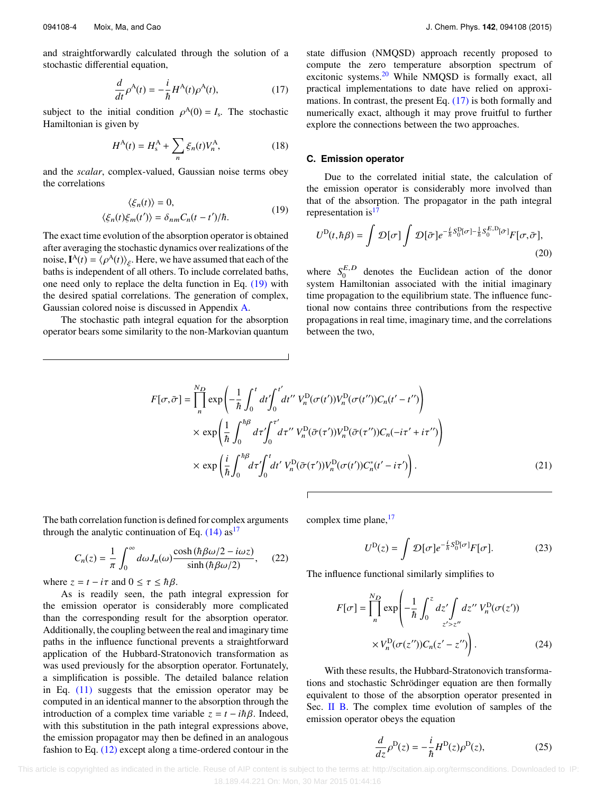and straightforwardly calculated through the solution of a stochastic differential equation,

$$
\frac{d}{dt}\rho^{\mathcal{A}}(t) = -\frac{i}{\hbar}H^{\mathcal{A}}(t)\rho^{\mathcal{A}}(t),\tag{17}
$$

subject to the initial condition  $\rho^{A}(0) = I_s$ . The stochastic Hamiltonian is given by Hamiltonian is given by

$$
H^{\mathcal{A}}(t) = H^{\mathcal{A}}_{\mathcal{S}} + \sum_{n} \xi_n(t) V^{\mathcal{A}}_n,\tag{18}
$$

and the *scalar*, complex-valued, Gaussian noise terms obey the correlations

$$
\langle \xi_n(t) \rangle = 0,
$$
  

$$
\langle \xi_n(t) \xi_m(t') \rangle = \delta_{nm} C_n(t - t')/\hbar.
$$
 (19)

The exact time evolution of the absorption operator is obtained after averaging the stochastic dynamics over realizations of the noise,  $I^A(t) = \langle \rho^A(t) \rangle_{\xi}$ . Here, we have assumed that each of the haths is independent of all others. To include correlated baths baths is independent of all others. To include correlated baths, one need only to replace the delta function in Eq. [\(19\)](#page-4-0) with the desired spatial correlations. The generation of complex, Gaussian colored noise is discussed in Appendix [A.](#page-8-0)

The stochastic path integral equation for the absorption operator bears some similarity to the non-Markovian quantum <span id="page-4-1"></span>state diffusion (NMQSD) approach recently proposed to compute the zero temperature absorption spectrum of excitonic systems.<sup>[20](#page-9-17)</sup> While NMQSD is formally exact, all practical implementations to date have relied on approximations. In contrast, the present Eq.  $(17)$  is both formally and numerically exact, although it may prove fruitful to further explore the connections between the two approaches.

#### **C. Emission operator**

<span id="page-4-0"></span>Due to the correlated initial state, the calculation of the emission operator is considerably more involved than that of the absorption. The propagator in the path integral representation is  $17$ 

$$
U^{\rm D}(t,\hbar\beta) = \int \mathcal{D}[\sigma] \int \mathcal{D}[\bar{\sigma}] e^{-\frac{i}{\hbar}S_0^{\rm D}[\sigma] - \frac{1}{\hbar}S_0^{E,\rm D}[\bar{\sigma}]} F[\sigma,\bar{\sigma}], \tag{20}
$$

where  $S_0^{E,D}$  denotes the Euclidean action of the donor system Hamiltonian associated with the initial imaginary time propagation to the equilibrium state. The influence functional now contains three contributions from the respective propagations in real time, imaginary time, and the correlations between the two,

$$
F[\sigma,\bar{\sigma}] = \prod_{n}^{N_D} \exp\left(-\frac{1}{\hbar} \int_0^t dt' \int_0^{t'} dt'' V_n^D(\sigma(t')) V_n^D(\sigma(t'')) C_n(t'-t'')\right)
$$
  
 
$$
\times \exp\left(\frac{1}{\hbar} \int_0^{\hbar\beta} d\tau' \int_0^{t'} d\tau'' V_n^D(\bar{\sigma}(\tau')) V_n^D(\bar{\sigma}(\tau'')) C_n(-i\tau'+i\tau'')\right)
$$
  
 
$$
\times \exp\left(\frac{i}{\hbar} \int_0^{\hbar\beta} d\tau' \int_0^t dt' V_n^D(\bar{\sigma}(\tau')) V_n^D(\sigma(t')) C_n^*(t'-i\tau')\right).
$$
 (21)

The bath correlation function is defined for complex arguments through the analytic continuation of Eq.  $(14)$  as<sup>[17](#page-9-14)</sup>

$$
C_n(z) = \frac{1}{\pi} \int_0^\infty d\omega J_n(\omega) \frac{\cosh(\hbar \beta \omega/2 - i\omega z)}{\sinh(\hbar \beta \omega/2)},\qquad(22)
$$

where  $z = t - i\tau$  and  $0 \le \tau \le \hbar \beta$ .

As is readily seen, the path integral expression for the emission operator is considerably more complicated than the corresponding result for the absorption operator. Additionally, the coupling between the real and imaginary time paths in the influence functional prevents a straightforward application of the Hubbard-Stratonovich transformation as was used previously for the absorption operator. Fortunately, a simplification is possible. The detailed balance relation in Eq. [\(11\)](#page-3-1) suggests that the emission operator may be computed in an identical manner to the absorption through the introduction of a complex time variable  $z = t - i\hbar\beta$ . Indeed, with this substitution in the path integral expressions above, the emission propagator may then be defined in an analogous fashion to Eq. [\(12\)](#page-3-5) except along a time-ordered contour in the

complex time plane, $17$ 

$$
U^{\mathcal{D}}(z) = \int \mathcal{D}[\sigma] e^{-\frac{i}{\hbar}S_0^{\mathcal{D}}[\sigma]} F[\sigma]. \tag{23}
$$

<span id="page-4-3"></span>The influence functional similarly simplifies to

$$
F[\sigma] = \prod_{n}^{N_D} \exp\left(-\frac{1}{\hbar} \int_0^z dz' \int_{z' > z''} dz'' V_n^D(\sigma(z'))\right)
$$

$$
\times V_n^D(\sigma(z''))C_n(z'-z'')\right).
$$
 (24)

With these results, the Hubbard-Stratonovich transformations and stochastic Schrödinger equation are then formally equivalent to those of the absorption operator presented in Sec. [II B.](#page-3-2) The complex time evolution of samples of the emission operator obeys the equation

<span id="page-4-2"></span>
$$
\frac{d}{dz}\rho^{\mathcal{D}}(z) = -\frac{i}{\hbar}H^{\mathcal{D}}(z)\rho^{\mathcal{D}}(z),\tag{25}
$$

 This article is copyrighted as indicated in the article. Reuse of AIP content is subject to the terms at: http://scitation.aip.org/termsconditions. Downloaded to IP: 18.189.44.221 On: Mon, 30 Mar 2015 01:44:16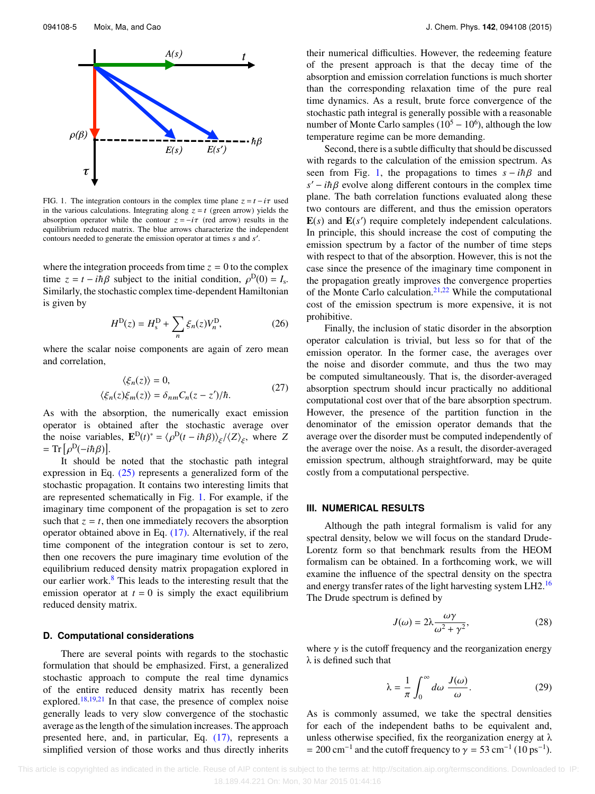<span id="page-5-0"></span>

FIG. 1. The integration contours in the complex time plane  $z = t - i\tau$  used in the various calculations. Integrating along  $z = t$  (green arrow) yields the absorption operator while the contour  $z = -i\tau$  (red arrow) results in the equilibrium reduced matrix. The blue arrows characterize the independent contours needed to generate the emission operator at times s and s'.

where the integration proceeds from time  $z = 0$  to the complex time  $z = t - i\hbar\beta$  subject to the initial condition,  $\rho^D(0) = I_s$ .<br>Similarly the stochastic complex time-dependent Hamiltonian Similarly, the stochastic complex time-dependent Hamiltonian is given by

$$
H^{D}(z) = H_{s}^{D} + \sum_{n} \xi_{n}(z) V_{n}^{D},
$$
 (26)

where the scalar noise components are again of zero mean and correlation,

$$
\langle \xi_n(z) \rangle = 0,
$$
  

$$
\langle \xi_n(z) \xi_m(z) \rangle = \delta_{nm} C_n(z - z')/\hbar.
$$
 (27)

As with the absorption, the numerically exact emission operator is obtained after the stochastic average over the noise variables,  $\mathbf{E}^{\text{D}}(t)^* = \langle \rho^{\text{D}}(t - i\hbar \beta) \rangle_{\xi}/\langle Z \rangle_{\xi}$ , where *Z* – Tr [ $\rho^{\text{D}}(-i\hbar \beta)$ ] the not<br>= Tr  $\lceil$  $\rho^D(-i\hbar\beta)$ .<br>should b

It should be noted that the stochastic path integral expression in Eq. [\(25\)](#page-4-2) represents a generalized form of the stochastic propagation. It contains two interesting limits that are represented schematically in Fig. [1.](#page-5-0) For example, if the imaginary time component of the propagation is set to zero such that  $z = t$ , then one immediately recovers the absorption operator obtained above in Eq. [\(17\).](#page-4-1) Alternatively, if the real time component of the integration contour is set to zero, then one recovers the pure imaginary time evolution of the equilibrium reduced density matrix propagation explored in our earlier work.<sup>[8](#page-9-6)</sup> This leads to the interesting result that the emission operator at  $t = 0$  is simply the exact equilibrium reduced density matrix.

#### **D. Computational considerations**

There are several points with regards to the stochastic formulation that should be emphasized. First, a generalized stochastic approach to compute the real time dynamics of the entire reduced density matrix has recently been explored.[18](#page-9-15)[,19,](#page-9-16)[21](#page-9-18) In that case, the presence of complex noise generally leads to very slow convergence of the stochastic average as the length of the simulation increases. The approach presented here, and, in particular, Eq. [\(17\),](#page-4-1) represents a simplified version of those works and thus directly inherits

their numerical difficulties. However, the redeeming feature of the present approach is that the decay time of the absorption and emission correlation functions is much shorter than the corresponding relaxation time of the pure real time dynamics. As a result, brute force convergence of the stochastic path integral is generally possible with a reasonable number of Monte Carlo samples ( $10^5 - 10^6$ ), although the low temperature regime can be more demanding.

Second, there is a subtle difficulty that should be discussed with regards to the calculation of the emission spectrum. As seen from Fig. [1,](#page-5-0) the propagations to times  $s - i\hbar\beta$  and  $s' - i\hbar\beta$  evolve along different contours in the complex time<br>plane. The bath correlation functions evaluated along these plane. The bath correlation functions evaluated along these two contours are different, and thus the emission operators  $\mathbf{E}(s)$  and  $\mathbf{E}(s')$  require completely independent calculations. In principle, this should increase the cost of computing the emission spectrum by a factor of the number of time steps with respect to that of the absorption. However, this is not the case since the presence of the imaginary time component in the propagation greatly improves the convergence properties of the Monte Carlo calculation.<sup>[21,](#page-9-18)[22](#page-9-19)</sup> While the computational cost of the emission spectrum is more expensive, it is not prohibitive.

Finally, the inclusion of static disorder in the absorption operator calculation is trivial, but less so for that of the emission operator. In the former case, the averages over the noise and disorder commute, and thus the two may be computed simultaneously. That is, the disorder-averaged absorption spectrum should incur practically no additional computational cost over that of the bare absorption spectrum. However, the presence of the partition function in the denominator of the emission operator demands that the average over the disorder must be computed independently of the average over the noise. As a result, the disorder-averaged emission spectrum, although straightforward, may be quite costly from a computational perspective.

#### **III. NUMERICAL RESULTS**

Although the path integral formalism is valid for any spectral density, below we will focus on the standard Drude-Lorentz form so that benchmark results from the HEOM formalism can be obtained. In a forthcoming work, we will examine the influence of the spectral density on the spectra and energy transfer rates of the light harvesting system LH2.<sup>[16](#page-9-13)</sup> The Drude spectrum is defined by

$$
J(\omega) = 2\lambda \frac{\omega \gamma}{\omega^2 + \gamma^2},\tag{28}
$$

where  $\gamma$  is the cutoff frequency and the reorganization energy  $\lambda$  is defined such that

$$
\lambda = \frac{1}{\pi} \int_0^\infty d\omega \, \frac{J(\omega)}{\omega}.\tag{29}
$$

As is commonly assumed, we take the spectral densities for each of the independent baths to be equivalent and, unless otherwise specified, fix the reorganization energy at  $\lambda$  $= 200 \text{ cm}^{-1}$  and the cutoff frequency to  $\gamma = 53 \text{ cm}^{-1} (10 \text{ ps}^{-1})$ .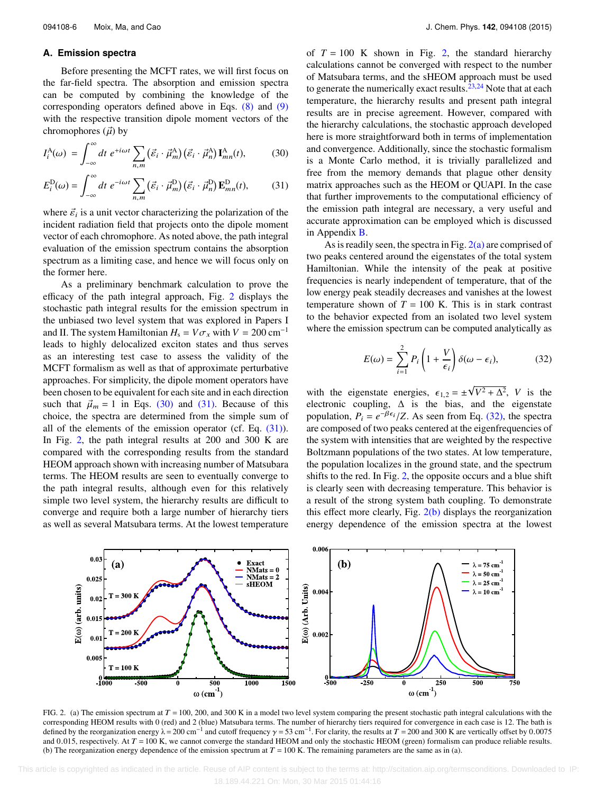#### **A. Emission spectra**

Before presenting the MCFT rates, we will first focus on the far-field spectra. The absorption and emission spectra can be computed by combining the knowledge of the corresponding operators defined above in Eqs. [\(8\)](#page-2-3) and [\(9\)](#page-2-2) with the respective transition dipole moment vectors of the chromophores  $(\vec{\mu})$  by

$$
I_i^{\mathcal{A}}(\omega) = \int_{-\infty}^{\infty} dt \ e^{+i\omega t} \sum_{n,m} (\vec{\varepsilon}_i \cdot \vec{\mu}_m^{\mathcal{A}}) (\vec{\varepsilon}_i \cdot \vec{\mu}_n^{\mathcal{A}}) \mathbf{I}_{mn}^{\mathcal{A}}(t), \tag{30}
$$

$$
E_i^{\mathcal{D}}(\omega) = \int_{-\infty}^{\infty} dt \ e^{-i\omega t} \sum_{n,m} (\vec{\varepsilon}_i \cdot \vec{\mu}_m^{\mathcal{D}}) (\vec{\varepsilon}_i \cdot \vec{\mu}_n^{\mathcal{D}}) \mathbf{E}_{mn}^{\mathcal{D}}(t), \tag{31}
$$

where  $\vec{\varepsilon}_i$  is a unit vector characterizing the polarization of the incident radiation field that projects onto the dipole moment incident radiation field that projects onto the dipole moment vector of each chromophore. As noted above, the path integral evaluation of the emission spectrum contains the absorption spectrum as a limiting case, and hence we will focus only on the former here.

As a preliminary benchmark calculation to prove the efficacy of the path integral approach, Fig. [2](#page-6-0) displays the stochastic path integral results for the emission spectrum in the unbiased two level system that was explored in Papers I and II. The system Hamiltonian  $H_s = V \sigma_x$  with  $V = 200 \text{ cm}^{-1}$ leads to highly delocalized exciton states and thus serves as an interesting test case to assess the validity of the MCFT formalism as well as that of approximate perturbative approaches. For simplicity, the dipole moment operators have been chosen to be equivalent for each site and in each direction such that  $\vec{\mu}_m = 1$  in Eqs. [\(30\)](#page-6-1) and [\(31\).](#page-6-2) Because of this choice, the spectra are determined from the simple sum of all of the elements of the emission operator (cf. Eq. [\(31\)\)](#page-6-2). In Fig. [2,](#page-6-0) the path integral results at 200 and 300 K are compared with the corresponding results from the standard HEOM approach shown with increasing number of Matsubara terms. The HEOM results are seen to eventually converge to the path integral results, although even for this relatively simple two level system, the hierarchy results are difficult to converge and require both a large number of hierarchy tiers as well as several Matsubara terms. At the lowest temperature

<span id="page-6-1"></span>of  $T = 100$  K shown in Fig. [2,](#page-6-0) the standard hierarchy calculations cannot be converged with respect to the number of Matsubara terms, and the sHEOM approach must be used to generate the numerically exact results. $23,24$  $23,24$  Note that at each temperature, the hierarchy results and present path integral results are in precise agreement. However, compared with the hierarchy calculations, the stochastic approach developed here is more straightforward both in terms of implementation and convergence. Additionally, since the stochastic formalism is a Monte Carlo method, it is trivially parallelized and free from the memory demands that plague other density matrix approaches such as the HEOM or QUAPI. In the case that further improvements to the computational efficiency of the emission path integral are necessary, a very useful and accurate approximation can be employed which is discussed in Appendix [B.](#page-9-22)

<span id="page-6-2"></span>As is readily seen, the spectra in Fig.  $2(a)$  are comprised of two peaks centered around the eigenstates of the total system Hamiltonian. While the intensity of the peak at positive frequencies is nearly independent of temperature, that of the low energy peak steadily decreases and vanishes at the lowest temperature shown of  $T = 100$  K. This is in stark contrast to the behavior expected from an isolated two level system where the emission spectrum can be computed analytically as

<span id="page-6-3"></span>
$$
E(\omega) = \sum_{i=1}^{2} P_i \left( 1 + \frac{V}{\epsilon_i} \right) \delta(\omega - \epsilon_i), \tag{32}
$$

with the eigenstate energies,  $\epsilon_{1,2} = \pm$ <br>electronic counting  $\Delta$  is the high √  $V^2 + \Delta^2$ , *V* is the electronic coupling, ∆ is the bias, and the eigenstate population,  $P_i = e^{-\beta \epsilon_i}/Z$ . As seen from Eq. [\(32\),](#page-6-3) the spectra<br>are composed of two peaks centered at the eigenfrequencies of are composed of two peaks centered at the eigenfrequencies of the system with intensities that are weighted by the respective Boltzmann populations of the two states. At low temperature, the population localizes in the ground state, and the spectrum shifts to the red. In Fig. [2,](#page-6-0) the opposite occurs and a blue shift is clearly seen with decreasing temperature. This behavior is a result of the strong system bath coupling. To demonstrate this effect more clearly, Fig.  $2(b)$  displays the reorganization energy dependence of the emission spectra at the lowest

<span id="page-6-0"></span>

FIG. 2. (a) The emission spectrum at  $T = 100$ , 200, and 300 K in a model two level system comparing the present stochastic path integral calculations with the corresponding HEOM results with 0 (red) and 2 (blue) Matsubara terms. The number of hierarchy tiers required for convergence in each case is 12. The bath is defined by the reorganization energy  $\lambda = 200 \text{ cm}^{-1}$  and cutoff frequency  $\gamma = 53 \text{ cm}^{-1}$ . For clarity, the results at  $T = 200$  and 300 K are vertically offset by 0.0075 and 0.015 respectively. At  $T = 100 \text{ K}$  we cann and 0.015, respectively. At  $T = 100$  K, we cannot converge the standard HEOM and only the stochastic HEOM (green) formalism can produce reliable results. (b) The reorganization energy dependence of the emission spectrum at  $T = 100$  K. The remaining parameters are the same as in (a).

 This article is copyrighted as indicated in the article. Reuse of AIP content is subject to the terms at: http://scitation.aip.org/termsconditions. Downloaded to IP: 18.189.44.221 On: Mon, 30 Mar 2015 01:44:16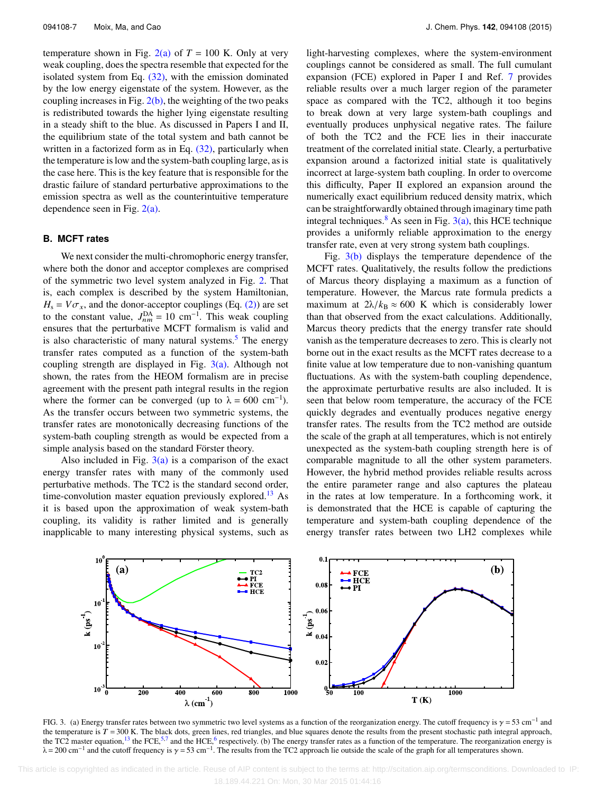temperature shown in Fig.  $2(a)$  of  $T = 100$  K. Only at very weak coupling, does the spectra resemble that expected for the isolated system from Eq. [\(32\),](#page-6-3) with the emission dominated by the low energy eigenstate of the system. However, as the coupling increases in Fig.  $2(b)$ , the weighting of the two peaks is redistributed towards the higher lying eigenstate resulting in a steady shift to the blue. As discussed in Papers I and II, the equilibrium state of the total system and bath cannot be written in a factorized form as in Eq.  $(32)$ , particularly when the temperature is low and the system-bath coupling large, as is the case here. This is the key feature that is responsible for the drastic failure of standard perturbative approximations to the emission spectra as well as the counterintuitive temperature dependence seen in Fig.  $2(a)$ .

#### **B. MCFT rates**

We next consider the multi-chromophoric energy transfer, where both the donor and acceptor complexes are comprised of the symmetric two level system analyzed in Fig. [2.](#page-6-0) That is, each complex is described by the system Hamiltonian,  $H_s = V \sigma_x$ , and the donor-acceptor couplings (Eq. [\(2\)\)](#page-2-4) are set to the constant value,  $J_{nm}^{\text{DA}} = 10 \text{ cm}^{-1}$ . This weak coupling ensures that the perturbative MCFT formalism is valid and is also characteristic of many natural systems. $5$  The energy transfer rates computed as a function of the system-bath coupling strength are displayed in Fig.  $3(a)$ . Although not shown, the rates from the HEOM formalism are in precise agreement with the present path integral results in the region where the former can be converged (up to  $\lambda = 600 \text{ cm}^{-1}$ ). As the transfer occurs between two symmetric systems, the transfer rates are monotonically decreasing functions of the system-bath coupling strength as would be expected from a simple analysis based on the standard Förster theory.

Also included in Fig.  $3(a)$  is a comparison of the exact energy transfer rates with many of the commonly used perturbative methods. The TC2 is the standard second order, time-convolution master equation previously explored.<sup>[13](#page-9-23)</sup> As it is based upon the approximation of weak system-bath coupling, its validity is rather limited and is generally inapplicable to many interesting physical systems, such as

light-harvesting complexes, where the system-environment couplings cannot be considered as small. The full cumulant expansion (FCE) explored in Paper I and Ref. [7](#page-9-5) provides reliable results over a much larger region of the parameter space as compared with the TC2, although it too begins to break down at very large system-bath couplings and eventually produces unphysical negative rates. The failure of both the TC2 and the FCE lies in their inaccurate treatment of the correlated initial state. Clearly, a perturbative expansion around a factorized initial state is qualitatively incorrect at large-system bath coupling. In order to overcome this difficulty, Paper II explored an expansion around the numerically exact equilibrium reduced density matrix, which can be straightforwardly obtained through imaginary time path integral techniques.<sup>[8](#page-9-6)</sup> As seen in Fig.  $3(a)$ , this HCE technique provides a uniformly reliable approximation to the energy transfer rate, even at very strong system bath couplings.

Fig.  $3(b)$  displays the temperature dependence of the MCFT rates. Qualitatively, the results follow the predictions of Marcus theory displaying a maximum as a function of temperature. However, the Marcus rate formula predicts a maximum at  $2\lambda/k_B \approx 600$  K which is considerably lower than that observed from the exact calculations. Additionally, Marcus theory predicts that the energy transfer rate should vanish as the temperature decreases to zero. This is clearly not borne out in the exact results as the MCFT rates decrease to a finite value at low temperature due to non-vanishing quantum fluctuations. As with the system-bath coupling dependence, the approximate perturbative results are also included. It is seen that below room temperature, the accuracy of the FCE quickly degrades and eventually produces negative energy transfer rates. The results from the TC2 method are outside the scale of the graph at all temperatures, which is not entirely unexpected as the system-bath coupling strength here is of comparable magnitude to all the other system parameters. However, the hybrid method provides reliable results across the entire parameter range and also captures the plateau in the rates at low temperature. In a forthcoming work, it is demonstrated that the HCE is capable of capturing the temperature and system-bath coupling dependence of the energy transfer rates between two LH2 complexes while

<span id="page-7-0"></span>

FIG. 3. (a) Energy transfer rates between two symmetric two level systems as a function of the reorganization energy. The cutoff frequency is  $\gamma = 53 \text{ cm}^{-1}$  and the temperature is  $T = 300 \text{ K}$ . The black dots, green li the temperature is  $T = 300$  K. The black dots, green lines, red triangles, and blue squares denote the results from the present stochastic path integral approach, the TC2 master equation,<sup>[13](#page-9-23)</sup> the FCE,<sup>[5,](#page-9-3)[7](#page-9-5)</sup> and the HCE,<sup>[6](#page-9-4)</sup> respectively. (b) The energy transfer rates as a function of the temperature. The reorganization energy is  $\lambda = 200 \text{ cm}^{-1}$  and the cutoff frequency is  $\gamma = 53 \text{ cm}^{-1}$ . The results from the TC2 approach lie outside the scale of the graph for all temperatures shown.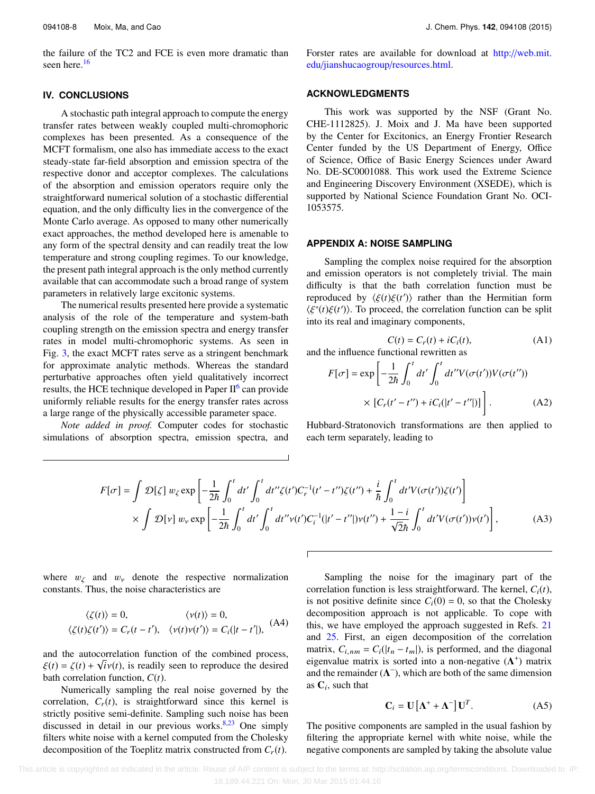the failure of the TC2 and FCE is even more dramatic than seen here.<sup>[16](#page-9-13)</sup>

#### **IV. CONCLUSIONS**

A stochastic path integral approach to compute the energy transfer rates between weakly coupled multi-chromophoric complexes has been presented. As a consequence of the MCFT formalism, one also has immediate access to the exact steady-state far-field absorption and emission spectra of the respective donor and acceptor complexes. The calculations of the absorption and emission operators require only the straightforward numerical solution of a stochastic differential equation, and the only difficulty lies in the convergence of the Monte Carlo average. As opposed to many other numerically exact approaches, the method developed here is amenable to any form of the spectral density and can readily treat the low temperature and strong coupling regimes. To our knowledge, the present path integral approach is the only method currently available that can accommodate such a broad range of system parameters in relatively large excitonic systems.

The numerical results presented here provide a systematic analysis of the role of the temperature and system-bath coupling strength on the emission spectra and energy transfer rates in model multi-chromophoric systems. As seen in Fig. [3,](#page-7-0) the exact MCFT rates serve as a stringent benchmark for approximate analytic methods. Whereas the standard perturbative approaches often yield qualitatively incorrect results, the HCE technique developed in Paper  $II^6$  $II^6$  can provide uniformly reliable results for the energy transfer rates across a large range of the physically accessible parameter space.

*Note added in proof.* Computer codes for stochastic simulations of absorption spectra, emission spectra, and

Forster rates are available for download at [http:](http://web.mit.edu/jianshucaogroup/resources.html)[//](http://web.mit.edu/jianshucaogroup/resources.html)[web.mit.](http://web.mit.edu/jianshucaogroup/resources.html) [edu](http://web.mit.edu/jianshucaogroup/resources.html)[/](http://web.mit.edu/jianshucaogroup/resources.html)[jianshucaogroup](http://web.mit.edu/jianshucaogroup/resources.html)[/](http://web.mit.edu/jianshucaogroup/resources.html)[resources.html.](http://web.mit.edu/jianshucaogroup/resources.html)

#### **ACKNOWLEDGMENTS**

This work was supported by the NSF (Grant No. CHE-1112825). J. Moix and J. Ma have been supported by the Center for Excitonics, an Energy Frontier Research Center funded by the US Department of Energy, Office of Science, Office of Basic Energy Sciences under Award No. DE-SC0001088. This work used the Extreme Science and Engineering Discovery Environment (XSEDE), which is supported by National Science Foundation Grant No. OCI-1053575.

#### <span id="page-8-0"></span>**APPENDIX A: NOISE SAMPLING**

Sampling the complex noise required for the absorption and emission operators is not completely trivial. The main difficulty is that the bath correlation function must be reproduced by  $\langle \xi(t) \xi(t') \rangle$  rather than the Hermitian form<br> $\langle \xi^*(t) \xi(t') \rangle$  To proceed the correlation function can be split  $\langle \xi^*(t) \xi(t') \rangle$ . To proceed, the correlation function can be split into its real and imaginary components into its real and imaginary components,

$$
C(t) = C_r(t) + iC_i(t),
$$
\n(A1)

\nand the influence functional rewritten as

$$
F[\sigma] = \exp\left[-\frac{1}{2\hbar} \int_0^t dt' \int_0^t dt'' V(\sigma(t')) V(\sigma(t''))\right] \times [C_r(t'-t'')+ iC_i(|t'-t''])]
$$
 (A2)

Hubbard-Stratonovich transformations are then applied to each term separately, leading to

$$
F[\sigma] = \int \mathcal{D}[\zeta] w_{\zeta} \exp\left[-\frac{1}{2\hbar} \int_0^t dt' \int_0^t dt'' \zeta(t') C_r^{-1}(t'-t'') \zeta(t'') + \frac{i}{\hbar} \int_0^t dt' V(\sigma(t')) \zeta(t')\right] \times \int \mathcal{D}[\nu] w_{\nu} \exp\left[-\frac{1}{2\hbar} \int_0^t dt' \int_0^t dt'' \nu(t') C_i^{-1}(|t'-t''|) \nu(t'') + \frac{1-i}{\sqrt{2}\hbar} \int_0^t dt' V(\sigma(t')) \nu(t')\right],
$$
(A3)

where  $w_{\zeta}$  and  $w_{\nu}$  denote the respective normalization constants. Thus, the noise characteristics are

$$
\langle \zeta(t) \rangle = 0, \qquad \langle \nu(t) \rangle = 0, \langle \zeta(t) \zeta(t') \rangle = C_r(t - t'), \quad \langle \nu(t) \nu(t') \rangle = C_i(|t - t'|), \quad (A4)
$$

and the autocorrelation function of the combined process,  $\xi(t) = \zeta(t) + \sqrt{i}v(t)$ , is readily seen to reproduce the desired<br>hath correlation function  $C(t)$ bath correlation function, *C*(*t*).

Numerically sampling the real noise governed by the correlation,  $C_r(t)$ , is straightforward since this kernel is strictly positive semi-definite. Sampling such noise has been discussed in detail in our previous works.<sup>[8,](#page-9-6)[23](#page-9-20)</sup> One simply filters white noise with a kernel computed from the Cholesky decomposition of the Toeplitz matrix constructed from  $C_r(t)$ .

Sampling the noise for the imaginary part of the correlation function is less straightforward. The kernel,  $C_i(t)$ , is not positive definite since  $C_i(0) = 0$ , so that the Cholesky decomposition approach is not applicable. To cope with this, we have employed the approach suggested in Refs. [21](#page-9-18) and [25.](#page-9-24) First, an eigen decomposition of the correlation matrix,  $C_{i,nm} = C_i(|t_n - t_m|)$ , is performed, and the diagonal eigenvalue matrix is sorted into a non-negative  $(\Lambda^+)$  matrix and the remainder  $(\Lambda^{-})$ , which are both of the same dimension as  $\mathbf{C}_i$ , such that - $\overline{a}$ 

$$
\mathbf{C}_{i} = \mathbf{U} \left[ \mathbf{\Lambda}^{+} + \mathbf{\Lambda}^{-} \right] \mathbf{U}^{T}.
$$
 (A5)

The positive components are sampled in the usual fashion by filtering the appropriate kernel with white noise, while the negative components are sampled by taking the absolute value